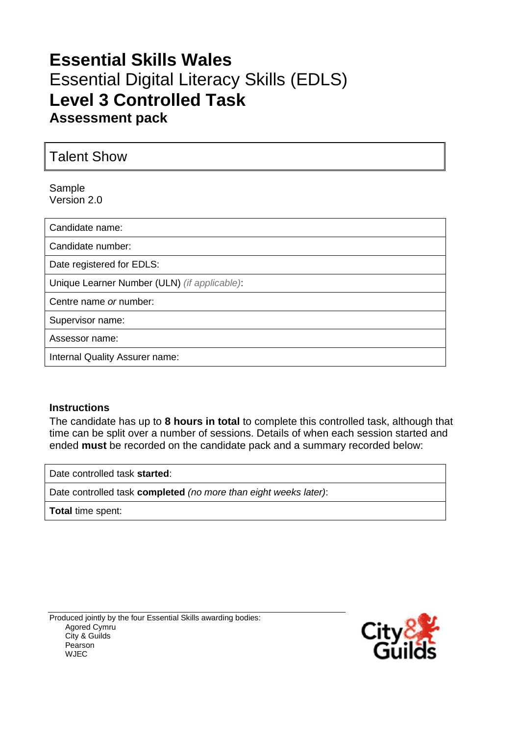# **Essential Skills Wales** Essential Digital Literacy Skills (EDLS) **Level 3 Controlled Task Assessment pack**

Talent Show

Sample Version 2.0

Candidate name: Candidate number: Date registered for EDLS: Unique Learner Number (ULN) *(if applicable)*: Centre name *or* number: Supervisor name: Assessor name: Internal Quality Assurer name:

#### **Instructions**

The candidate has up to **8 hours in total** to complete this controlled task, although that time can be split over a number of sessions. Details of when each session started and ended **must** be recorded on the candidate pack and a summary recorded below:

Date controlled task **started**:

Date controlled task **completed** *(no more than eight weeks later)*:

**Total** time spent:

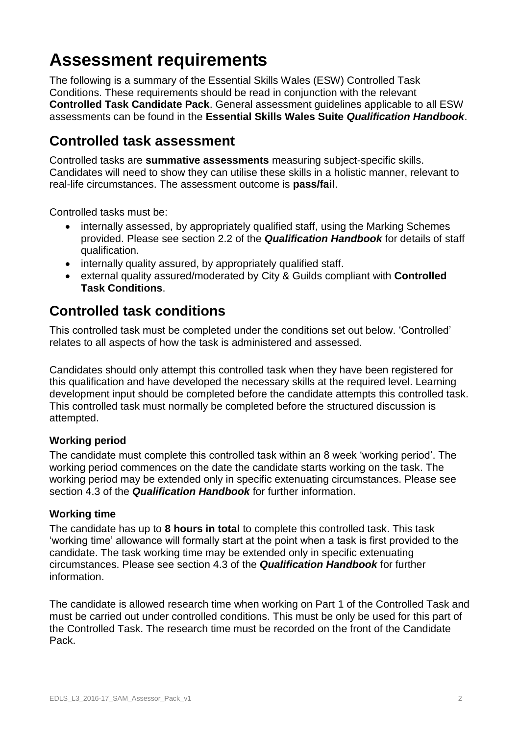# **Assessment requirements**

The following is a summary of the Essential Skills Wales (ESW) Controlled Task Conditions. These requirements should be read in conjunction with the relevant **Controlled Task Candidate Pack**. General assessment guidelines applicable to all ESW assessments can be found in the **Essential Skills Wales Suite** *Qualification Handbook*.

# **Controlled task assessment**

Controlled tasks are **summative assessments** measuring subject-specific skills. Candidates will need to show they can utilise these skills in a holistic manner, relevant to real-life circumstances. The assessment outcome is **pass/fail**.

Controlled tasks must be:

- internally assessed, by appropriately qualified staff, using the Marking Schemes provided. Please see section 2.2 of the *Qualification Handbook* for details of staff qualification.
- internally quality assured, by appropriately qualified staff.
- external quality assured/moderated by City & Guilds compliant with **Controlled Task Conditions**.

## **Controlled task conditions**

This controlled task must be completed under the conditions set out below. 'Controlled' relates to all aspects of how the task is administered and assessed.

Candidates should only attempt this controlled task when they have been registered for this qualification and have developed the necessary skills at the required level. Learning development input should be completed before the candidate attempts this controlled task. This controlled task must normally be completed before the structured discussion is attempted.

### **Working period**

The candidate must complete this controlled task within an 8 week 'working period'. The working period commences on the date the candidate starts working on the task. The working period may be extended only in specific extenuating circumstances. Please see section 4.3 of the *Qualification Handbook* for further information.

#### **Working time**

The candidate has up to **8 hours in total** to complete this controlled task. This task 'working time' allowance will formally start at the point when a task is first provided to the candidate. The task working time may be extended only in specific extenuating circumstances. Please see section 4.3 of the *Qualification Handbook* for further information.

The candidate is allowed research time when working on Part 1 of the Controlled Task and must be carried out under controlled conditions. This must be only be used for this part of the Controlled Task. The research time must be recorded on the front of the Candidate Pack.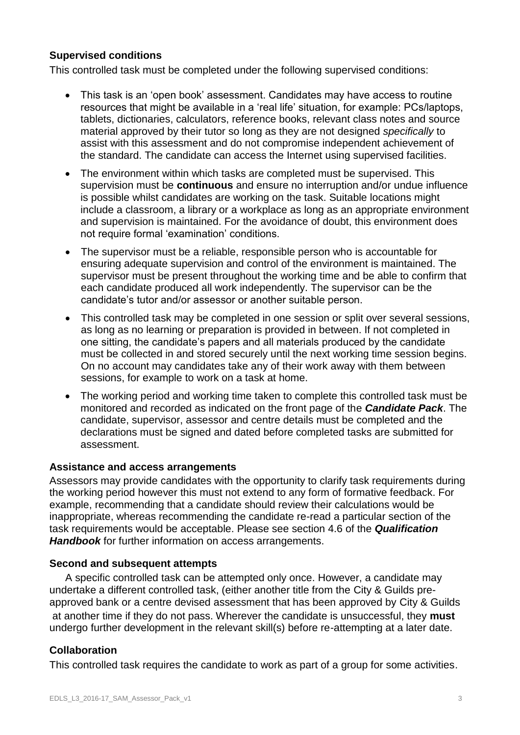#### **Supervised conditions**

This controlled task must be completed under the following supervised conditions:

- This task is an 'open book' assessment. Candidates may have access to routine resources that might be available in a 'real life' situation, for example: PCs/laptops, tablets, dictionaries, calculators, reference books, relevant class notes and source material approved by their tutor so long as they are not designed *specifically* to assist with this assessment and do not compromise independent achievement of the standard. The candidate can access the Internet using supervised facilities.
- The environment within which tasks are completed must be supervised. This supervision must be **continuous** and ensure no interruption and/or undue influence is possible whilst candidates are working on the task. Suitable locations might include a classroom, a library or a workplace as long as an appropriate environment and supervision is maintained. For the avoidance of doubt, this environment does not require formal 'examination' conditions.
- The supervisor must be a reliable, responsible person who is accountable for ensuring adequate supervision and control of the environment is maintained. The supervisor must be present throughout the working time and be able to confirm that each candidate produced all work independently. The supervisor can be the candidate's tutor and/or assessor or another suitable person.
- This controlled task may be completed in one session or split over several sessions, as long as no learning or preparation is provided in between. If not completed in one sitting, the candidate's papers and all materials produced by the candidate must be collected in and stored securely until the next working time session begins. On no account may candidates take any of their work away with them between sessions, for example to work on a task at home.
- The working period and working time taken to complete this controlled task must be monitored and recorded as indicated on the front page of the *Candidate Pack*. The candidate, supervisor, assessor and centre details must be completed and the declarations must be signed and dated before completed tasks are submitted for assessment.

#### **Assistance and access arrangements**

Assessors may provide candidates with the opportunity to clarify task requirements during the working period however this must not extend to any form of formative feedback. For example, recommending that a candidate should review their calculations would be inappropriate, whereas recommending the candidate re-read a particular section of the task requirements would be acceptable. Please see section 4.6 of the *Qualification Handbook* for further information on access arrangements.

#### **Second and subsequent attempts**

A specific controlled task can be attempted only once. However, a candidate may undertake a different controlled task, (either another title from the City & Guilds preapproved bank or a centre devised assessment that has been approved by City & Guilds at another time if they do not pass. Wherever the candidate is unsuccessful, they **must** undergo further development in the relevant skill(s) before re-attempting at a later date.

#### **Collaboration**

This controlled task requires the candidate to work as part of a group for some activities.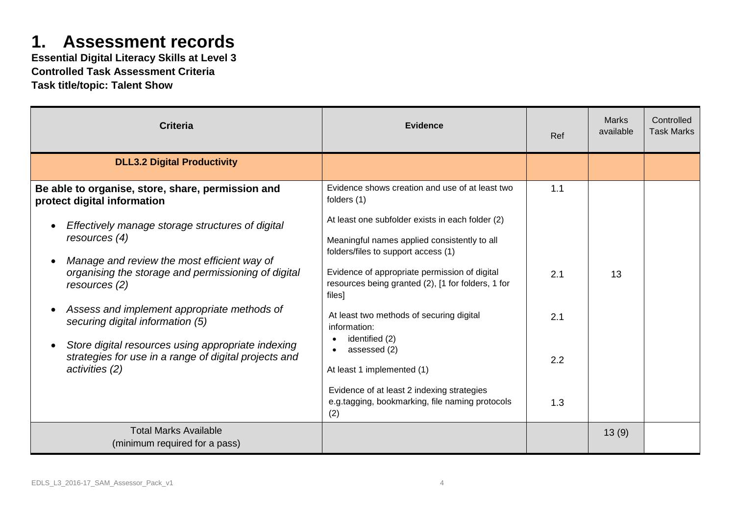# **1. Assessment records**

**Essential Digital Literacy Skills at Level 3 Controlled Task Assessment Criteria Task title/topic: Talent Show**

| <b>Criteria</b>                                                                                                                  | <b>Evidence</b>                                                                                                                         | Ref | <b>Marks</b><br>available | Controlled<br><b>Task Marks</b> |
|----------------------------------------------------------------------------------------------------------------------------------|-----------------------------------------------------------------------------------------------------------------------------------------|-----|---------------------------|---------------------------------|
| <b>DLL3.2 Digital Productivity</b>                                                                                               |                                                                                                                                         |     |                           |                                 |
| Be able to organise, store, share, permission and<br>protect digital information                                                 | Evidence shows creation and use of at least two<br>folders (1)                                                                          | 1.1 |                           |                                 |
| Effectively manage storage structures of digital<br>resources $(4)$                                                              | At least one subfolder exists in each folder (2)<br>Meaningful names applied consistently to all<br>folders/files to support access (1) |     |                           |                                 |
| Manage and review the most efficient way of<br>$\bullet$<br>organising the storage and permissioning of digital<br>resources (2) | Evidence of appropriate permission of digital<br>resources being granted (2), [1 for folders, 1 for<br>files]                           | 2.1 | 13                        |                                 |
| Assess and implement appropriate methods of<br>securing digital information (5)                                                  | At least two methods of securing digital<br>information:                                                                                | 2.1 |                           |                                 |
| Store digital resources using appropriate indexing<br>strategies for use in a range of digital projects and<br>activities (2)    | identified (2)<br>assessed (2)<br>At least 1 implemented (1)                                                                            | 2.2 |                           |                                 |
|                                                                                                                                  | Evidence of at least 2 indexing strategies<br>e.g.tagging, bookmarking, file naming protocols<br>(2)                                    | 1.3 |                           |                                 |
| <b>Total Marks Available</b><br>(minimum required for a pass)                                                                    |                                                                                                                                         |     | 13(9)                     |                                 |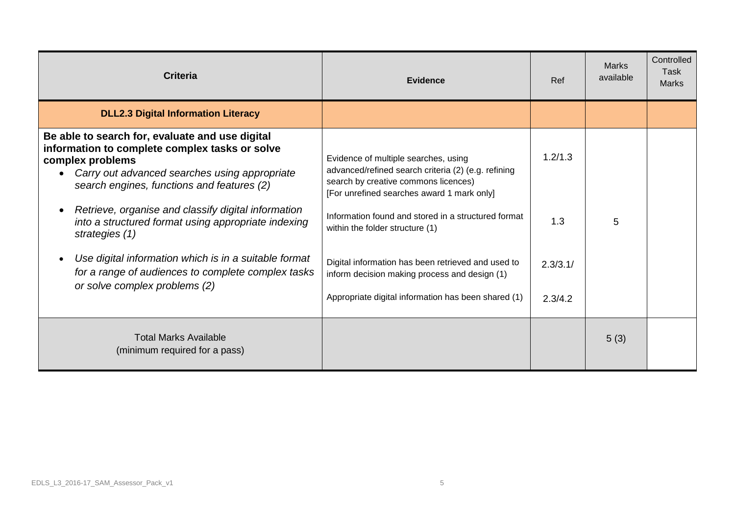| <b>Criteria</b>                                                                                                                                                                                                      | <b>Evidence</b>                                                                                                                                                                   | Ref                 | <b>Marks</b><br>available | Controlled<br>Task<br><b>Marks</b> |
|----------------------------------------------------------------------------------------------------------------------------------------------------------------------------------------------------------------------|-----------------------------------------------------------------------------------------------------------------------------------------------------------------------------------|---------------------|---------------------------|------------------------------------|
| <b>DLL2.3 Digital Information Literacy</b>                                                                                                                                                                           |                                                                                                                                                                                   |                     |                           |                                    |
| Be able to search for, evaluate and use digital<br>information to complete complex tasks or solve<br>complex problems<br>Carry out advanced searches using appropriate<br>search engines, functions and features (2) | Evidence of multiple searches, using<br>advanced/refined search criteria (2) (e.g. refining<br>search by creative commons licences)<br>[For unrefined searches award 1 mark only] | 1.2/1.3             |                           |                                    |
| Retrieve, organise and classify digital information<br>$\bullet$<br>into a structured format using appropriate indexing<br>strategies (1)                                                                            | Information found and stored in a structured format<br>within the folder structure (1)                                                                                            | 1.3                 | 5                         |                                    |
| Use digital information which is in a suitable format<br>for a range of audiences to complete complex tasks<br>or solve complex problems (2)                                                                         | Digital information has been retrieved and used to<br>inform decision making process and design (1)<br>Appropriate digital information has been shared (1)                        | 2.3/3.1/<br>2.3/4.2 |                           |                                    |
| <b>Total Marks Available</b><br>(minimum required for a pass)                                                                                                                                                        |                                                                                                                                                                                   |                     | 5(3)                      |                                    |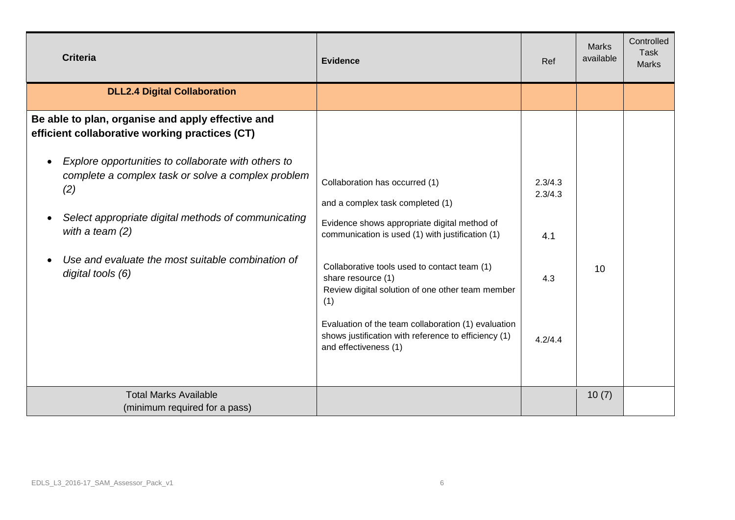| <b>Criteria</b>                                                                                                                                                                                                                                                                                                                                                                                                      | <b>Evidence</b>                                                                                                                                                                                                                                                                                                                                                                                                        | <b>Ref</b>                                  | <b>Marks</b><br>available | Controlled<br><b>Task</b><br><b>Marks</b> |
|----------------------------------------------------------------------------------------------------------------------------------------------------------------------------------------------------------------------------------------------------------------------------------------------------------------------------------------------------------------------------------------------------------------------|------------------------------------------------------------------------------------------------------------------------------------------------------------------------------------------------------------------------------------------------------------------------------------------------------------------------------------------------------------------------------------------------------------------------|---------------------------------------------|---------------------------|-------------------------------------------|
| <b>DLL2.4 Digital Collaboration</b>                                                                                                                                                                                                                                                                                                                                                                                  |                                                                                                                                                                                                                                                                                                                                                                                                                        |                                             |                           |                                           |
| Be able to plan, organise and apply effective and<br>efficient collaborative working practices (CT)<br>Explore opportunities to collaborate with others to<br>$\bullet$<br>complete a complex task or solve a complex problem<br>(2)<br>Select appropriate digital methods of communicating<br>$\bullet$<br>with a team $(2)$<br>Use and evaluate the most suitable combination of<br>$\bullet$<br>digital tools (6) | Collaboration has occurred (1)<br>and a complex task completed (1)<br>Evidence shows appropriate digital method of<br>communication is used (1) with justification (1)<br>Collaborative tools used to contact team (1)<br>share resource (1)<br>Review digital solution of one other team member<br>(1)<br>Evaluation of the team collaboration (1) evaluation<br>shows justification with reference to efficiency (1) | 2.3/4.3<br>2.3/4.3<br>4.1<br>4.3<br>4.2/4.4 | 10                        |                                           |
| <b>Total Marks Available</b><br>(minimum required for a pass)                                                                                                                                                                                                                                                                                                                                                        | and effectiveness (1)                                                                                                                                                                                                                                                                                                                                                                                                  |                                             | 10(7)                     |                                           |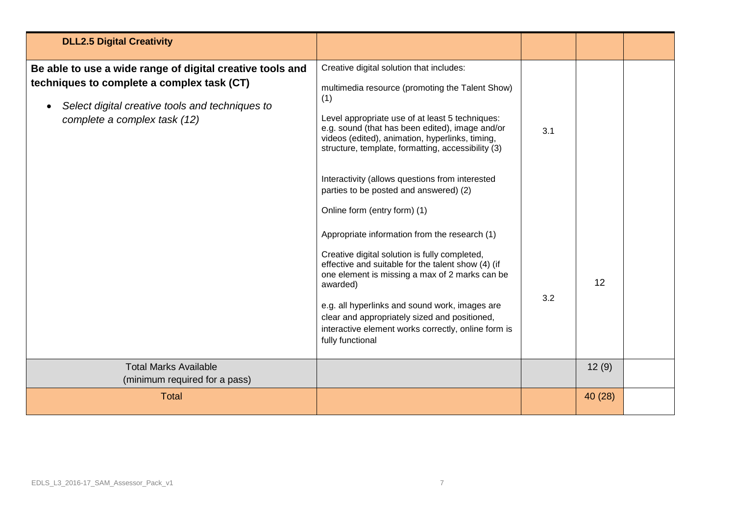| <b>DLL2.5 Digital Creativity</b>                                                                                                                                                                        |                                                                                                                                                                                                                                                                                                                                                                                                                                                |     |         |  |
|---------------------------------------------------------------------------------------------------------------------------------------------------------------------------------------------------------|------------------------------------------------------------------------------------------------------------------------------------------------------------------------------------------------------------------------------------------------------------------------------------------------------------------------------------------------------------------------------------------------------------------------------------------------|-----|---------|--|
| Be able to use a wide range of digital creative tools and<br>techniques to complete a complex task (CT)<br>Select digital creative tools and techniques to<br>$\bullet$<br>complete a complex task (12) | Creative digital solution that includes:<br>multimedia resource (promoting the Talent Show)<br>(1)<br>Level appropriate use of at least 5 techniques:<br>e.g. sound (that has been edited), image and/or<br>videos (edited), animation, hyperlinks, timing,<br>structure, template, formatting, accessibility (3)<br>Interactivity (allows questions from interested<br>parties to be posted and answered) (2)<br>Online form (entry form) (1) | 3.1 |         |  |
|                                                                                                                                                                                                         | Appropriate information from the research (1)<br>Creative digital solution is fully completed,<br>effective and suitable for the talent show (4) (if<br>one element is missing a max of 2 marks can be<br>awarded)<br>e.g. all hyperlinks and sound work, images are<br>clear and appropriately sized and positioned,<br>interactive element works correctly, online form is<br>fully functional                                               | 3.2 | 12      |  |
| <b>Total Marks Available</b><br>(minimum required for a pass)                                                                                                                                           |                                                                                                                                                                                                                                                                                                                                                                                                                                                |     | 12(9)   |  |
| <b>Total</b>                                                                                                                                                                                            |                                                                                                                                                                                                                                                                                                                                                                                                                                                |     | 40 (28) |  |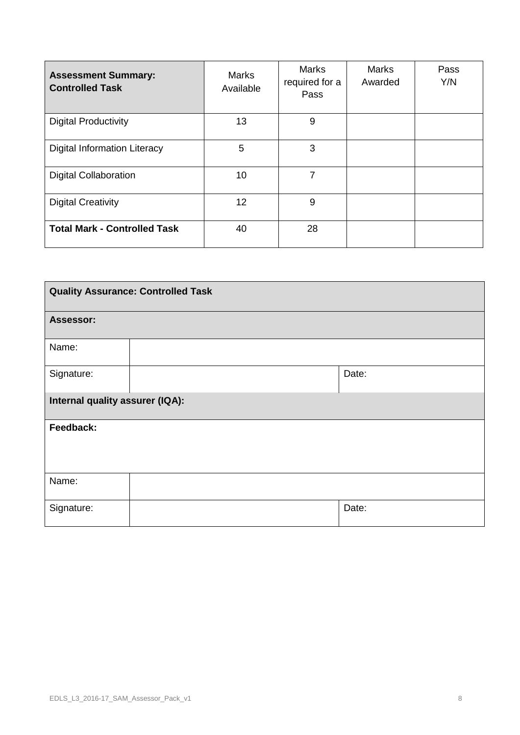| <b>Assessment Summary:</b><br><b>Controlled Task</b> | Marks<br>Available | <b>Marks</b><br>required for a<br>Pass | Marks<br>Awarded | Pass<br>Y/N |
|------------------------------------------------------|--------------------|----------------------------------------|------------------|-------------|
| <b>Digital Productivity</b>                          | 13                 | 9                                      |                  |             |
| <b>Digital Information Literacy</b>                  | 5                  | 3                                      |                  |             |
| <b>Digital Collaboration</b>                         | 10 <sup>1</sup>    | 7                                      |                  |             |
| <b>Digital Creativity</b>                            | 12                 | 9                                      |                  |             |
| <b>Total Mark - Controlled Task</b>                  | 40                 | 28                                     |                  |             |

| <b>Quality Assurance: Controlled Task</b> |  |       |  |
|-------------------------------------------|--|-------|--|
| <b>Assessor:</b>                          |  |       |  |
| Name:                                     |  |       |  |
| Signature:                                |  | Date: |  |
| Internal quality assurer (IQA):           |  |       |  |
| Feedback:                                 |  |       |  |
|                                           |  |       |  |
| Name:                                     |  |       |  |
| Signature:                                |  | Date: |  |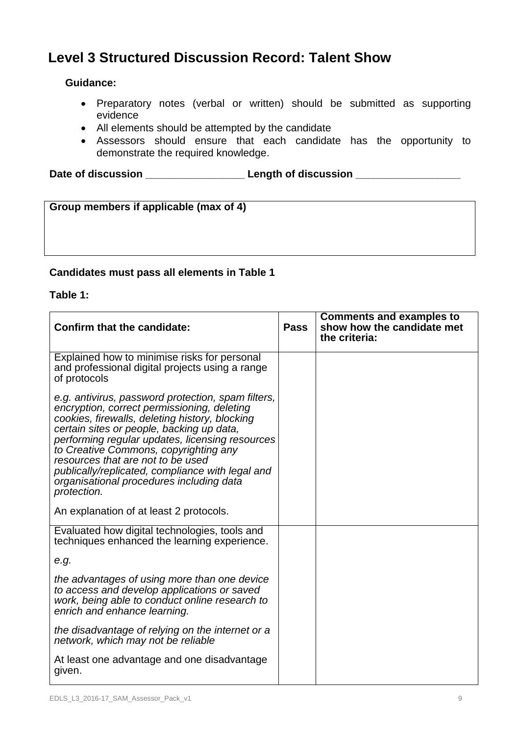## **Level 3 Structured Discussion Record: Talent Show**

### **Guidance:**

- Preparatory notes (verbal or written) should be submitted as supporting evidence
- All elements should be attempted by the candidate
- Assessors should ensure that each candidate has the opportunity to demonstrate the required knowledge.

**Date of discussion \_\_\_\_\_\_\_\_\_\_\_\_\_\_\_\_\_ Length of discussion \_\_\_\_\_\_\_\_\_\_\_\_\_\_\_\_\_\_**

| Group members if applicable (max of 4) |  |
|----------------------------------------|--|
|                                        |  |
|                                        |  |
|                                        |  |

### **Candidates must pass all elements in Table 1**

#### **Table 1:**

| <b>Confirm that the candidate:</b>                                                                                                                                                                                                                                                                                                                                                                                                               | <b>Pass</b> | <b>Comments and examples to</b><br>show how the candidate met<br>the criteria: |
|--------------------------------------------------------------------------------------------------------------------------------------------------------------------------------------------------------------------------------------------------------------------------------------------------------------------------------------------------------------------------------------------------------------------------------------------------|-------------|--------------------------------------------------------------------------------|
| Explained how to minimise risks for personal<br>and professional digital projects using a range<br>of protocols                                                                                                                                                                                                                                                                                                                                  |             |                                                                                |
| e.g. antivirus, password protection, spam filters,<br>encryption, correct permissioning, deleting<br>cookies, firewalls, deleting history, blocking<br>certain sites or people, backing up data,<br>performing regular updates, licensing resources<br>to Creative Commons, copyrighting any<br>resources that are not to be used<br>publically/replicated, compliance with legal and<br>organisational procedures including data<br>protection. |             |                                                                                |
| An explanation of at least 2 protocols.                                                                                                                                                                                                                                                                                                                                                                                                          |             |                                                                                |
| Evaluated how digital technologies, tools and<br>techniques enhanced the learning experience.                                                                                                                                                                                                                                                                                                                                                    |             |                                                                                |
| e.g.                                                                                                                                                                                                                                                                                                                                                                                                                                             |             |                                                                                |
| the advantages of using more than one device<br>to access and develop applications or saved<br>work, being able to conduct online research to<br>enrich and enhance learning.                                                                                                                                                                                                                                                                    |             |                                                                                |
| the disadvantage of relying on the internet or a<br>network, which may not be reliable                                                                                                                                                                                                                                                                                                                                                           |             |                                                                                |
| At least one advantage and one disadvantage<br>given.                                                                                                                                                                                                                                                                                                                                                                                            |             |                                                                                |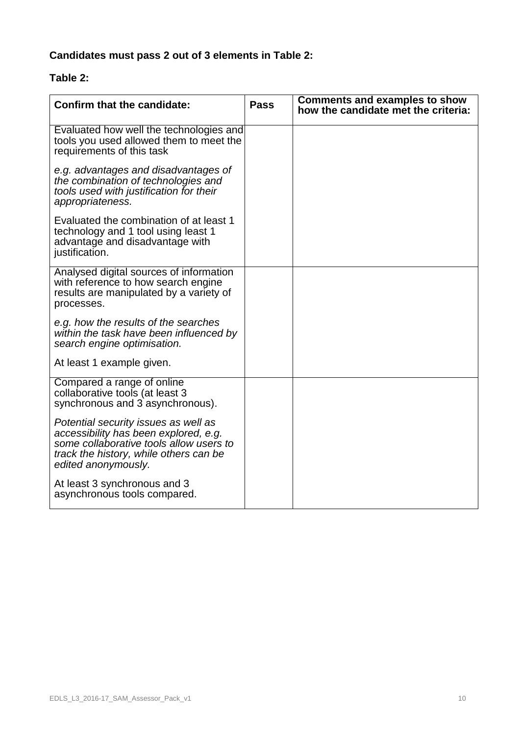## **Candidates must pass 2 out of 3 elements in Table 2:**

### **Table 2:**

| <b>Confirm that the candidate:</b>                                                                                                                                                        | <b>Pass</b> | <b>Comments and examples to show</b><br>how the candidate met the criteria: |
|-------------------------------------------------------------------------------------------------------------------------------------------------------------------------------------------|-------------|-----------------------------------------------------------------------------|
| Evaluated how well the technologies and<br>tools you used allowed them to meet the<br>requirements of this task                                                                           |             |                                                                             |
| e.g. advantages and disadvantages of<br>the combination of technologies and<br>tools used with justification for their<br>appropriateness.                                                |             |                                                                             |
| Evaluated the combination of at least 1<br>technology and 1 tool using least 1<br>advantage and disadvantage with<br>justification.                                                       |             |                                                                             |
| Analysed digital sources of information<br>with reference to how search engine<br>results are manipulated by a variety of<br>processes.                                                   |             |                                                                             |
| e.g. how the results of the searches<br>within the task have been influenced by<br>search engine optimisation.                                                                            |             |                                                                             |
| At least 1 example given.                                                                                                                                                                 |             |                                                                             |
| Compared a range of online<br>collaborative tools (at least 3<br>synchronous and 3 asynchronous).                                                                                         |             |                                                                             |
| Potential security issues as well as<br>accessibility has been explored, e.g.<br>some collaborative tools allow users to<br>track the history, while others can be<br>edited anonymously. |             |                                                                             |
| At least 3 synchronous and 3<br>asynchronous tools compared.                                                                                                                              |             |                                                                             |